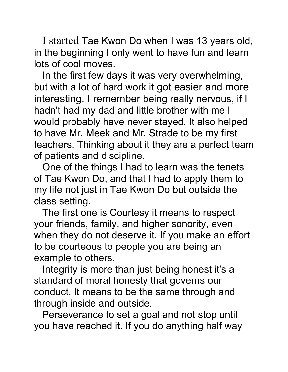I started Tae Kwon Do when I was 13 years old, in the beginning I only went to have fun and learn lots of cool moves.

In the first few days it was very overwhelming, but with a lot of hard work it got easier and more interesting. I remember being really nervous, if I hadn't had my dad and little brother with me I would probably have never stayed. It also helped to have Mr. Meek and Mr. Strade to be my first teachers. Thinking about it they are a perfect team of patients and discipline.

One of the things I had to learn was the tenets of Tae Kwon Do, and that I had to apply them to my life not just in Tae Kwon Do but outside the class setting.

The first one is Courtesy it means to respect your friends, family, and higher sonority, even when they do not deserve it. If you make an effort to be courteous to people you are being an example to others.

Integrity is more than just being honest it's a standard of moral honesty that governs our conduct. It means to be the same through and through inside and outside.

Perseverance to set a goal and not stop until you have reached it. If you do anything half way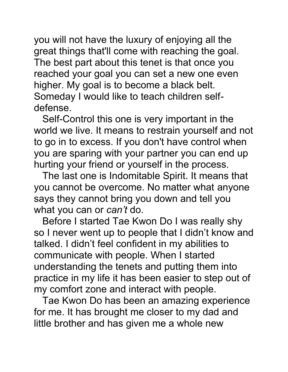you will not have the luxury of enjoying all the great things that'll come with reaching the goal. The best part about this tenet is that once you reached your goal you can set a new one even higher. My goal is to become a black belt. Someday I would like to teach children selfdefense.

Self-Control this one is very important in the world we live. It means to restrain yourself and not to go in to excess. If you don't have control when you are sparing with your partner you can end up hurting your friend or yourself in the process.

The last one is Indomitable Spirit. It means that you cannot be overcome. No matter what anyone says they cannot bring you down and tell you what you can or *can't* do.

Before I started Tae Kwon Do I was really shy so I never went up to people that I didn't know and talked. I didn't feel confident in my abilities to communicate with people. When I started understanding the tenets and putting them into practice in my life it has been easier to step out of my comfort zone and interact with people.

Tae Kwon Do has been an amazing experience for me. It has brought me closer to my dad and little brother and has given me a whole new